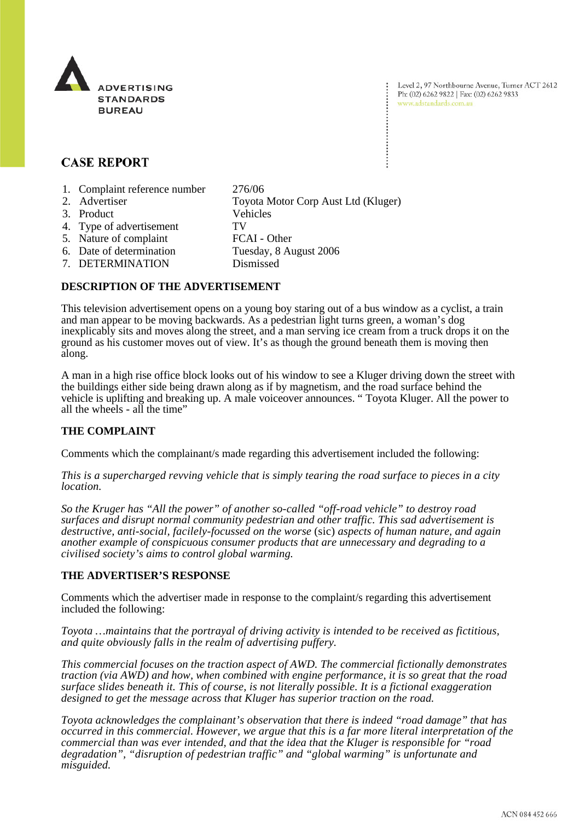

Level 2, 97 Northbourne Avenue, Turner ACT 2612 Ph: (02) 6262 9822 | Fax: (02) 6262 9833 www.adstandards.com.au

# **CASE REPORT**

- 1. Complaint reference number 276/06
- 2. Advertiser Toyota Motor Corp Aust Ltd (Kluger) 3. Product Vehicles 4. Type of advertisement TV 5. Nature of complaint FCAI - Other<br>6. Date of determination Tuesday, 8 Au Tuesday, 8 August 2006 7. DETERMINATION Dismissed

## **DESCRIPTION OF THE ADVERTISEMENT**

This television advertisement opens on a young boy staring out of a bus window as a cyclist, a train and man appear to be moving backwards. As a pedestrian light turns green, a woman's dog inexplicably sits and moves along the street, and a man serving ice cream from a truck drops it on the ground as his customer moves out of view. It's as though the ground beneath them is moving then along.

A man in a high rise office block looks out of his window to see a Kluger driving down the street with the buildings either side being drawn along as if by magnetism, and the road surface behind the vehicle is uplifting and breaking up. A male voiceover announces. " Toyota Kluger. All the power to all the wheels - all the time"

## **THE COMPLAINT**

Comments which the complainant/s made regarding this advertisement included the following:

*This is a supercharged revving vehicle that is simply tearing the road surface to pieces in a city location.* 

*So the Kruger has "All the power" of another so-called "off-road vehicle" to destroy road surfaces and disrupt normal community pedestrian and other traffic. This sad advertisement is destructive, anti-social, facilely-focussed on the worse* (sic) *aspects of human nature, and again another example of conspicuous consumer products that are unnecessary and degrading to a civilised society's aims to control global warming.*

#### **THE ADVERTISER'S RESPONSE**

Comments which the advertiser made in response to the complaint/s regarding this advertisement included the following:

*Toyota …maintains that the portrayal of driving activity is intended to be received as fictitious, and quite obviously falls in the realm of advertising puffery.* 

*This commercial focuses on the traction aspect of AWD. The commercial fictionally demonstrates traction (via AWD) and how, when combined with engine performance, it is so great that the road surface slides beneath it. This of course, is not literally possible. It is a fictional exaggeration designed to get the message across that Kluger has superior traction on the road.* 

*Toyota acknowledges the complainant's observation that there is indeed "road damage" that has occurred in this commercial. However, we argue that this is a far more literal interpretation of the commercial than was ever intended, and that the idea that the Kluger is responsible for "road degradation", "disruption of pedestrian traffic" and "global warming" is unfortunate and misguided.*